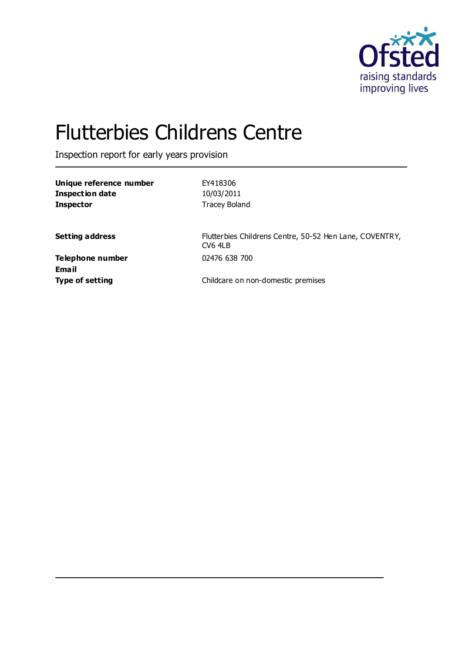

# Flutterbies Childrens Centre

Inspection report for early years provision

| Unique reference number | EY418306             |
|-------------------------|----------------------|
| Inspection date         | 10/03/2011           |
| <b>Inspector</b>        | <b>Tracey Boland</b> |

**Setting address** Flutterbies Childrens Centre, 50-52 Hen Lane, COVENTRY, CV6 4LB

**Telephone number** 02476 638 700 **Email**

**Type of setting Childcare on non-domestic premises**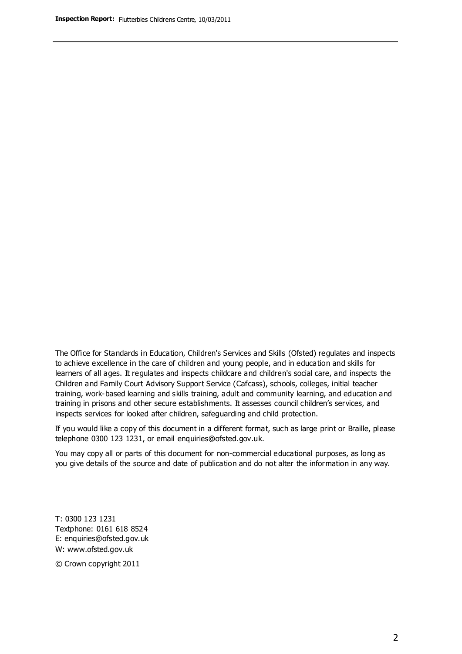The Office for Standards in Education, Children's Services and Skills (Ofsted) regulates and inspects to achieve excellence in the care of children and young people, and in education and skills for learners of all ages. It regulates and inspects childcare and children's social care, and inspects the Children and Family Court Advisory Support Service (Cafcass), schools, colleges, initial teacher training, work-based learning and skills training, adult and community learning, and education and training in prisons and other secure establishments. It assesses council children's services, and inspects services for looked after children, safeguarding and child protection.

If you would like a copy of this document in a different format, such as large print or Braille, please telephone 0300 123 1231, or email enquiries@ofsted.gov.uk.

You may copy all or parts of this document for non-commercial educational purposes, as long as you give details of the source and date of publication and do not alter the information in any way.

T: 0300 123 1231 Textphone: 0161 618 8524 E: enquiries@ofsted.gov.uk W: [www.ofsted.gov.uk](http://www.ofsted.gov.uk/)

© Crown copyright 2011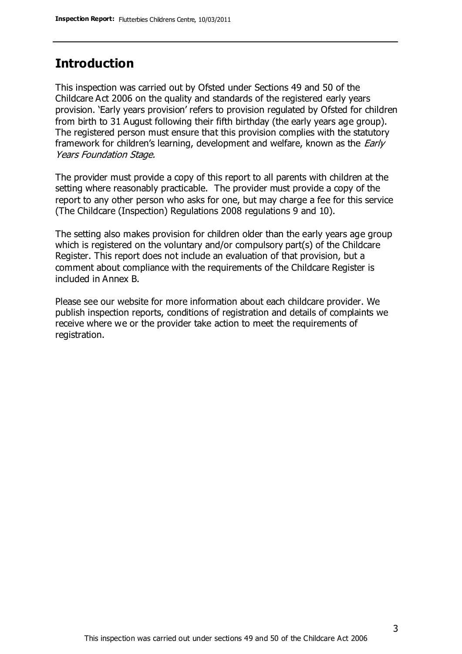### **Introduction**

This inspection was carried out by Ofsted under Sections 49 and 50 of the Childcare Act 2006 on the quality and standards of the registered early years provision. 'Early years provision' refers to provision regulated by Ofsted for children from birth to 31 August following their fifth birthday (the early years age group). The registered person must ensure that this provision complies with the statutory framework for children's learning, development and welfare, known as the *Early* Years Foundation Stage.

The provider must provide a copy of this report to all parents with children at the setting where reasonably practicable. The provider must provide a copy of the report to any other person who asks for one, but may charge a fee for this service (The Childcare (Inspection) Regulations 2008 regulations 9 and 10).

The setting also makes provision for children older than the early years age group which is registered on the voluntary and/or compulsory part(s) of the Childcare Register. This report does not include an evaluation of that provision, but a comment about compliance with the requirements of the Childcare Register is included in Annex B.

Please see our website for more information about each childcare provider. We publish inspection reports, conditions of registration and details of complaints we receive where we or the provider take action to meet the requirements of registration.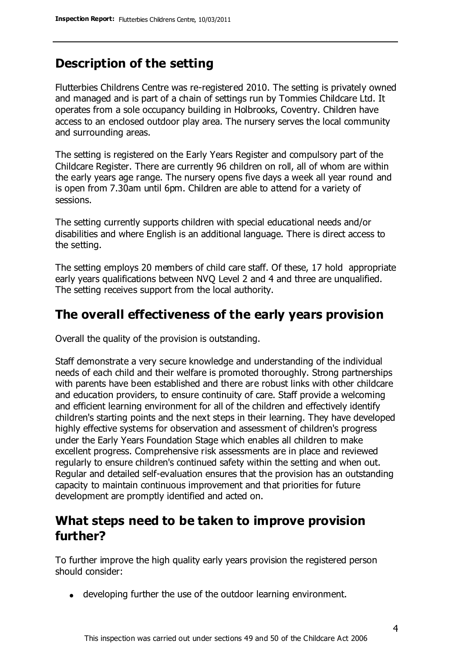### **Description of the setting**

Flutterbies Childrens Centre was re-registered 2010. The setting is privately owned and managed and is part of a chain of settings run by Tommies Childcare Ltd. It operates from a sole occupancy building in Holbrooks, Coventry. Children have access to an enclosed outdoor play area. The nursery serves the local community and surrounding areas.

The setting is registered on the Early Years Register and compulsory part of the Childcare Register. There are currently 96 children on roll, all of whom are within the early years age range. The nursery opens five days a week all year round and is open from 7.30am until 6pm. Children are able to attend for a variety of sessions.

The setting currently supports children with special educational needs and/or disabilities and where English is an additional language. There is direct access to the setting.

The setting employs 20 members of child care staff. Of these, 17 hold appropriate early years qualifications between NVQ Level 2 and 4 and three are unqualified. The setting receives support from the local authority.

### **The overall effectiveness of the early years provision**

Overall the quality of the provision is outstanding.

Staff demonstrate a very secure knowledge and understanding of the individual needs of each child and their welfare is promoted thoroughly. Strong partnerships with parents have been established and there are robust links with other childcare and education providers, to ensure continuity of care. Staff provide a welcoming and efficient learning environment for all of the children and effectively identify children's starting points and the next steps in their learning. They have developed highly effective systems for observation and assessment of children's progress under the Early Years Foundation Stage which enables all children to make excellent progress. Comprehensive risk assessments are in place and reviewed regularly to ensure children's continued safety within the setting and when out. Regular and detailed self-evaluation ensures that the provision has an outstanding capacity to maintain continuous improvement and that priorities for future development are promptly identified and acted on.

# **What steps need to be taken to improve provision further?**

To further improve the high quality early years provision the registered person should consider:

developing further the use of the outdoor learning environment.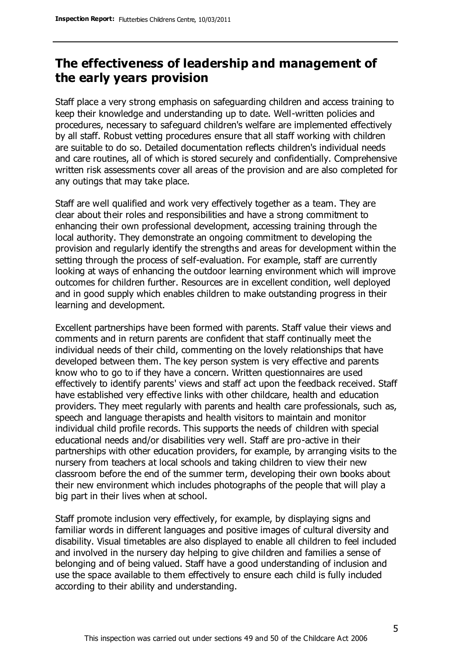# **The effectiveness of leadership and management of the early years provision**

Staff place a very strong emphasis on safeguarding children and access training to keep their knowledge and understanding up to date. Well-written policies and procedures, necessary to safeguard children's welfare are implemented effectively by all staff. Robust vetting procedures ensure that all staff working with children are suitable to do so. Detailed documentation reflects children's individual needs and care routines, all of which is stored securely and confidentially. Comprehensive written risk assessments cover all areas of the provision and are also completed for any outings that may take place.

Staff are well qualified and work very effectively together as a team. They are clear about their roles and responsibilities and have a strong commitment to enhancing their own professional development, accessing training through the local authority. They demonstrate an ongoing commitment to developing the provision and regularly identify the strengths and areas for development within the setting through the process of self-evaluation. For example, staff are currently looking at ways of enhancing the outdoor learning environment which will improve outcomes for children further. Resources are in excellent condition, well deployed and in good supply which enables children to make outstanding progress in their learning and development.

Excellent partnerships have been formed with parents. Staff value their views and comments and in return parents are confident that staff continually meet the individual needs of their child, commenting on the lovely relationships that have developed between them. The key person system is very effective and parents know who to go to if they have a concern. Written questionnaires are used effectively to identify parents' views and staff act upon the feedback received. Staff have established very effective links with other childcare, health and education providers. They meet regularly with parents and health care professionals, such as, speech and language therapists and health visitors to maintain and monitor individual child profile records. This supports the needs of children with special educational needs and/or disabilities very well. Staff are pro-active in their partnerships with other education providers, for example, by arranging visits to the nursery from teachers at local schools and taking children to view their new classroom before the end of the summer term, developing their own books about their new environment which includes photographs of the people that will play a big part in their lives when at school.

Staff promote inclusion very effectively, for example, by displaying signs and familiar words in different languages and positive images of cultural diversity and disability. Visual timetables are also displayed to enable all children to feel included and involved in the nursery day helping to give children and families a sense of belonging and of being valued. Staff have a good understanding of inclusion and use the space available to them effectively to ensure each child is fully included according to their ability and understanding.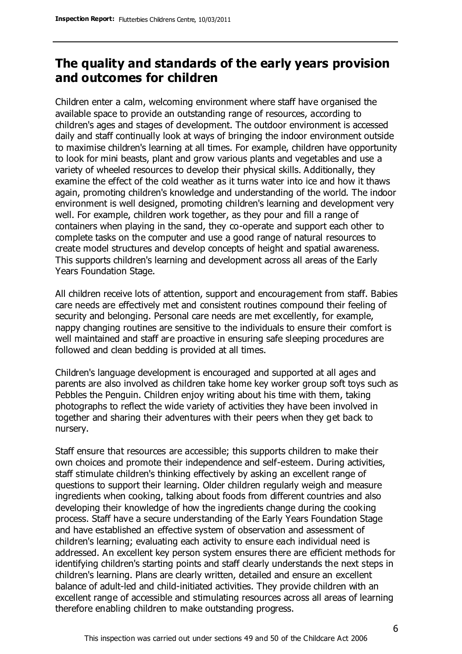# **The quality and standards of the early years provision and outcomes for children**

Children enter a calm, welcoming environment where staff have organised the available space to provide an outstanding range of resources, according to children's ages and stages of development. The outdoor environment is accessed daily and staff continually look at ways of bringing the indoor environment outside to maximise children's learning at all times. For example, children have opportunity to look for mini beasts, plant and grow various plants and vegetables and use a variety of wheeled resources to develop their physical skills. Additionally, they examine the effect of the cold weather as it turns water into ice and how it thaws again, promoting children's knowledge and understanding of the world. The indoor environment is well designed, promoting children's learning and development very well. For example, children work together, as they pour and fill a range of containers when playing in the sand, they co-operate and support each other to complete tasks on the computer and use a good range of natural resources to create model structures and develop concepts of height and spatial awareness. This supports children's learning and development across all areas of the Early Years Foundation Stage.

All children receive lots of attention, support and encouragement from staff. Babies care needs are effectively met and consistent routines compound their feeling of security and belonging. Personal care needs are met excellently, for example, nappy changing routines are sensitive to the individuals to ensure their comfort is well maintained and staff are proactive in ensuring safe sleeping procedures are followed and clean bedding is provided at all times.

Children's language development is encouraged and supported at all ages and parents are also involved as children take home key worker group soft toys such as Pebbles the Penguin. Children enjoy writing about his time with them, taking photographs to reflect the wide variety of activities they have been involved in together and sharing their adventures with their peers when they get back to nursery.

Staff ensure that resources are accessible; this supports children to make their own choices and promote their independence and self-esteem. During activities, staff stimulate children's thinking effectively by asking an excellent range of questions to support their learning. Older children regularly weigh and measure ingredients when cooking, talking about foods from different countries and also developing their knowledge of how the ingredients change during the cooking process. Staff have a secure understanding of the Early Years Foundation Stage and have established an effective system of observation and assessment of children's learning; evaluating each activity to ensure each individual need is addressed. An excellent key person system ensures there are efficient methods for identifying children's starting points and staff clearly understands the next steps in children's learning. Plans are clearly written, detailed and ensure an excellent balance of adult-led and child-initiated activities. They provide children with an excellent range of accessible and stimulating resources across all areas of learning therefore enabling children to make outstanding progress.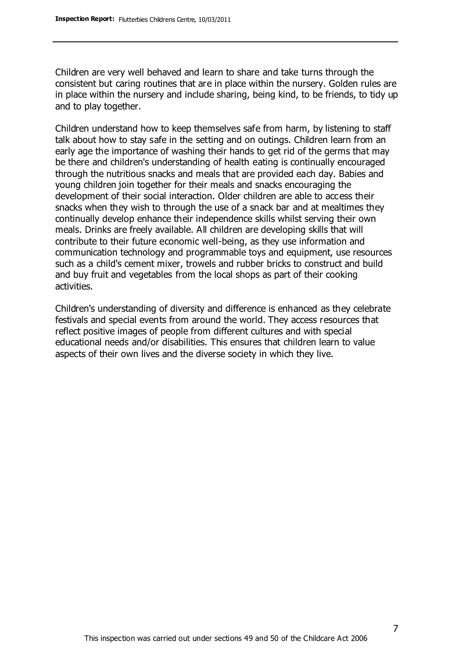Children are very well behaved and learn to share and take turns through the consistent but caring routines that are in place within the nursery. Golden rules are in place within the nursery and include sharing, being kind, to be friends, to tidy up and to play together.

Children understand how to keep themselves safe from harm, by listening to staff talk about how to stay safe in the setting and on outings. Children learn from an early age the importance of washing their hands to get rid of the germs that may be there and children's understanding of health eating is continually encouraged through the nutritious snacks and meals that are provided each day. Babies and young children join together for their meals and snacks encouraging the development of their social interaction. Older children are able to access their snacks when they wish to through the use of a snack bar and at mealtimes they continually develop enhance their independence skills whilst serving their own meals. Drinks are freely available. All children are developing skills that will contribute to their future economic well-being, as they use information and communication technology and programmable toys and equipment, use resources such as a child's cement mixer, trowels and rubber bricks to construct and build and buy fruit and vegetables from the local shops as part of their cooking activities.

Children's understanding of diversity and difference is enhanced as they celebrate festivals and special events from around the world. They access resources that reflect positive images of people from different cultures and with special educational needs and/or disabilities. This ensures that children learn to value aspects of their own lives and the diverse society in which they live.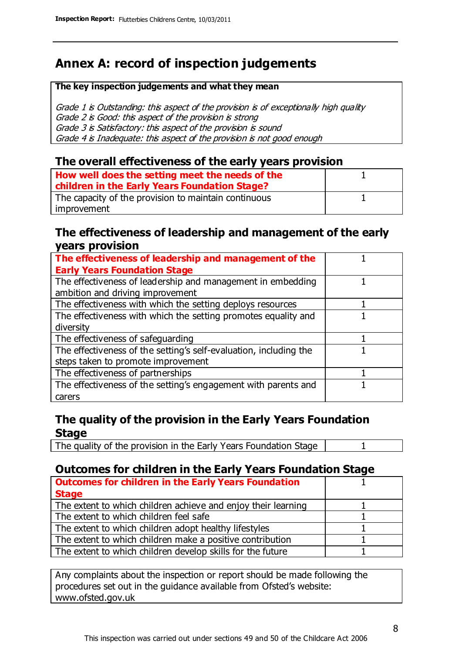# **Annex A: record of inspection judgements**

#### **The key inspection judgements and what they mean**

Grade 1 is Outstanding: this aspect of the provision is of exceptionally high quality Grade 2 is Good: this aspect of the provision is strong Grade 3 is Satisfactory: this aspect of the provision is sound Grade 4 is Inadequate: this aspect of the provision is not good enough

### **The overall effectiveness of the early years provision**

| How well does the setting meet the needs of the<br>children in the Early Years Foundation Stage? |  |
|--------------------------------------------------------------------------------------------------|--|
| The capacity of the provision to maintain continuous                                             |  |
| improvement                                                                                      |  |

#### **The effectiveness of leadership and management of the early years provision**

| The effectiveness of leadership and management of the             |  |
|-------------------------------------------------------------------|--|
| <b>Early Years Foundation Stage</b>                               |  |
| The effectiveness of leadership and management in embedding       |  |
| ambition and driving improvement                                  |  |
| The effectiveness with which the setting deploys resources        |  |
| The effectiveness with which the setting promotes equality and    |  |
| diversity                                                         |  |
| The effectiveness of safeguarding                                 |  |
| The effectiveness of the setting's self-evaluation, including the |  |
| steps taken to promote improvement                                |  |
| The effectiveness of partnerships                                 |  |
| The effectiveness of the setting's engagement with parents and    |  |
| carers                                                            |  |

### **The quality of the provision in the Early Years Foundation Stage**

The quality of the provision in the Early Years Foundation Stage | 1

### **Outcomes for children in the Early Years Foundation Stage**

| <b>Outcomes for children in the Early Years Foundation</b>    |  |
|---------------------------------------------------------------|--|
| <b>Stage</b>                                                  |  |
| The extent to which children achieve and enjoy their learning |  |
| The extent to which children feel safe                        |  |
| The extent to which children adopt healthy lifestyles         |  |
| The extent to which children make a positive contribution     |  |
| The extent to which children develop skills for the future    |  |

Any complaints about the inspection or report should be made following the procedures set out in the guidance available from Ofsted's website: www.ofsted.gov.uk